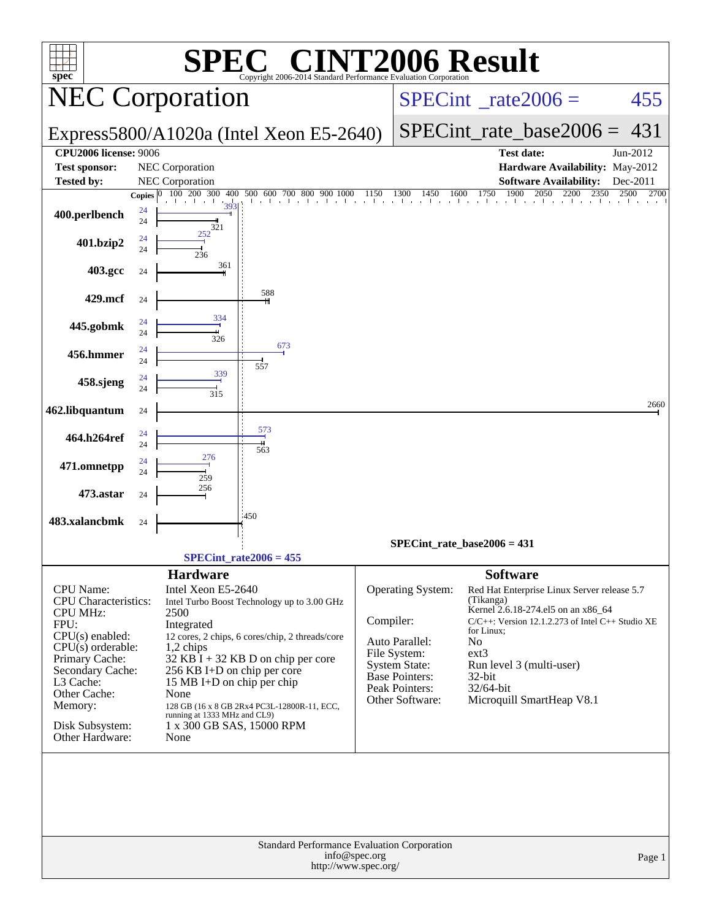| <b>INT2006 Result</b><br>EG G<br>SPI<br>$spec^*$<br>Copyright 2006-2014 Standard Performance Evaluation Corporation                                                                                                                 |                                                                                                                                                                                                                                                                                                                                                                                                             |                                                                                                                                                                                                                                                                                                                                                                                                                                                          |  |  |  |  |  |  |  |  |
|-------------------------------------------------------------------------------------------------------------------------------------------------------------------------------------------------------------------------------------|-------------------------------------------------------------------------------------------------------------------------------------------------------------------------------------------------------------------------------------------------------------------------------------------------------------------------------------------------------------------------------------------------------------|----------------------------------------------------------------------------------------------------------------------------------------------------------------------------------------------------------------------------------------------------------------------------------------------------------------------------------------------------------------------------------------------------------------------------------------------------------|--|--|--|--|--|--|--|--|
|                                                                                                                                                                                                                                     | <b>NEC Corporation</b>                                                                                                                                                                                                                                                                                                                                                                                      | $SPECint^{\circ}$ <sub>_rate2006</sub> =<br>455                                                                                                                                                                                                                                                                                                                                                                                                          |  |  |  |  |  |  |  |  |
|                                                                                                                                                                                                                                     | Express5800/A1020a (Intel Xeon E5-2640)                                                                                                                                                                                                                                                                                                                                                                     | $SPECint_rate\_base2006 =$<br>431                                                                                                                                                                                                                                                                                                                                                                                                                        |  |  |  |  |  |  |  |  |
| <b>CPU2006 license: 9006</b>                                                                                                                                                                                                        |                                                                                                                                                                                                                                                                                                                                                                                                             | <b>Test date:</b><br>Jun-2012                                                                                                                                                                                                                                                                                                                                                                                                                            |  |  |  |  |  |  |  |  |
| <b>Test sponsor:</b>                                                                                                                                                                                                                | NEC Corporation                                                                                                                                                                                                                                                                                                                                                                                             | Hardware Availability: May-2012                                                                                                                                                                                                                                                                                                                                                                                                                          |  |  |  |  |  |  |  |  |
| <b>Tested by:</b>                                                                                                                                                                                                                   | <b>NEC</b> Corporation                                                                                                                                                                                                                                                                                                                                                                                      | <b>Software Availability:</b><br>Dec-2011<br>2500<br>2700                                                                                                                                                                                                                                                                                                                                                                                                |  |  |  |  |  |  |  |  |
| 400.perlbench                                                                                                                                                                                                                       | Copies $ 0 $<br>24<br>24<br>321                                                                                                                                                                                                                                                                                                                                                                             |                                                                                                                                                                                                                                                                                                                                                                                                                                                          |  |  |  |  |  |  |  |  |
| 401.bzip2                                                                                                                                                                                                                           | 252<br>24<br>24<br>236                                                                                                                                                                                                                                                                                                                                                                                      |                                                                                                                                                                                                                                                                                                                                                                                                                                                          |  |  |  |  |  |  |  |  |
| 403.gcc                                                                                                                                                                                                                             | 361<br>24                                                                                                                                                                                                                                                                                                                                                                                                   |                                                                                                                                                                                                                                                                                                                                                                                                                                                          |  |  |  |  |  |  |  |  |
| 429.mcf                                                                                                                                                                                                                             | 588<br>24<br>334                                                                                                                                                                                                                                                                                                                                                                                            |                                                                                                                                                                                                                                                                                                                                                                                                                                                          |  |  |  |  |  |  |  |  |
| 445.gobmk                                                                                                                                                                                                                           | 24<br>24<br>326<br>673                                                                                                                                                                                                                                                                                                                                                                                      |                                                                                                                                                                                                                                                                                                                                                                                                                                                          |  |  |  |  |  |  |  |  |
| 456.hmmer                                                                                                                                                                                                                           | 24<br>24<br>557                                                                                                                                                                                                                                                                                                                                                                                             |                                                                                                                                                                                                                                                                                                                                                                                                                                                          |  |  |  |  |  |  |  |  |
| 458.sjeng                                                                                                                                                                                                                           | 339<br>24<br>24<br>315                                                                                                                                                                                                                                                                                                                                                                                      |                                                                                                                                                                                                                                                                                                                                                                                                                                                          |  |  |  |  |  |  |  |  |
| 462.libquantum                                                                                                                                                                                                                      | 24                                                                                                                                                                                                                                                                                                                                                                                                          | 2660                                                                                                                                                                                                                                                                                                                                                                                                                                                     |  |  |  |  |  |  |  |  |
| 464.h264ref                                                                                                                                                                                                                         | 573<br>24<br>24<br>563                                                                                                                                                                                                                                                                                                                                                                                      |                                                                                                                                                                                                                                                                                                                                                                                                                                                          |  |  |  |  |  |  |  |  |
| 471.omnetpp                                                                                                                                                                                                                         | 276<br>24<br>24<br>259                                                                                                                                                                                                                                                                                                                                                                                      |                                                                                                                                                                                                                                                                                                                                                                                                                                                          |  |  |  |  |  |  |  |  |
| 473.astar                                                                                                                                                                                                                           | 256<br>24                                                                                                                                                                                                                                                                                                                                                                                                   |                                                                                                                                                                                                                                                                                                                                                                                                                                                          |  |  |  |  |  |  |  |  |
| 483.xalancbmk                                                                                                                                                                                                                       | :450<br>24                                                                                                                                                                                                                                                                                                                                                                                                  |                                                                                                                                                                                                                                                                                                                                                                                                                                                          |  |  |  |  |  |  |  |  |
|                                                                                                                                                                                                                                     |                                                                                                                                                                                                                                                                                                                                                                                                             | $SPECint_rate_base2006 = 431$                                                                                                                                                                                                                                                                                                                                                                                                                            |  |  |  |  |  |  |  |  |
|                                                                                                                                                                                                                                     | $SPECint_rate2006 = 455$                                                                                                                                                                                                                                                                                                                                                                                    |                                                                                                                                                                                                                                                                                                                                                                                                                                                          |  |  |  |  |  |  |  |  |
| CPU Name:<br><b>CPU</b> Characteristics:<br><b>CPU MHz:</b><br>FPU:<br>$CPU(s)$ enabled:<br>$CPU(s)$ orderable:<br>Primary Cache:<br>Secondary Cache:<br>L3 Cache:<br>Other Cache:<br>Memory:<br>Disk Subsystem:<br>Other Hardware: | <b>Hardware</b><br>Intel Xeon E5-2640<br>Intel Turbo Boost Technology up to 3.00 GHz<br>2500<br>Integrated<br>12 cores, 2 chips, 6 cores/chip, 2 threads/core<br>1,2 chips<br>$32$ KB I + 32 KB D on chip per core<br>256 KB I+D on chip per core<br>15 MB I+D on chip per chip<br>None<br>128 GB (16 x 8 GB 2Rx4 PC3L-12800R-11, ECC,<br>running at 1333 MHz and CL9)<br>1 x 300 GB SAS, 15000 RPM<br>None | <b>Software</b><br>Operating System:<br>Red Hat Enterprise Linux Server release 5.7<br>(Tikanga)<br>Kernel 2.6.18-274.el5 on an x86_64<br>Compiler:<br>$C/C++$ : Version 12.1.2.273 of Intel $C++$ Studio XE<br>for Linux;<br>Auto Parallel:<br>N <sub>o</sub><br>ext3<br>File System:<br>System State:<br>Run level 3 (multi-user)<br><b>Base Pointers:</b><br>$32$ -bit<br>Peak Pointers:<br>32/64-bit<br>Other Software:<br>Microquill SmartHeap V8.1 |  |  |  |  |  |  |  |  |
|                                                                                                                                                                                                                                     | Standard Performance Evaluation Corporation                                                                                                                                                                                                                                                                                                                                                                 |                                                                                                                                                                                                                                                                                                                                                                                                                                                          |  |  |  |  |  |  |  |  |
|                                                                                                                                                                                                                                     | info@spec.org<br>http://www.spec.org/                                                                                                                                                                                                                                                                                                                                                                       | Page 1                                                                                                                                                                                                                                                                                                                                                                                                                                                   |  |  |  |  |  |  |  |  |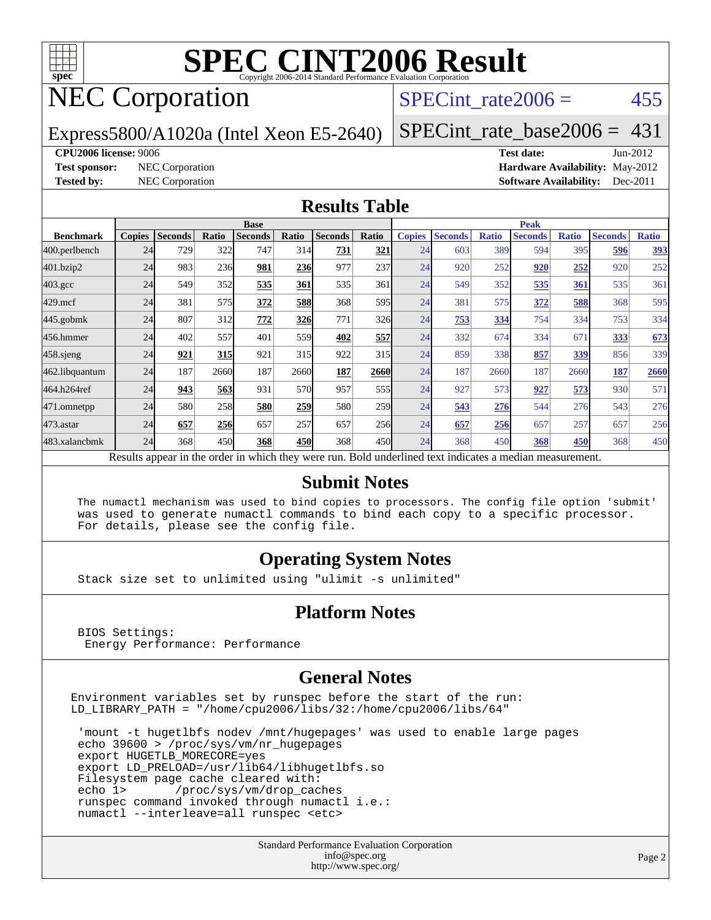

# **[SPEC CINT2006 Result](http://www.spec.org/auto/cpu2006/Docs/result-fields.html#SPECCINT2006Result)**

# NEC Corporation

### SPECint rate $2006 = 455$

Express5800/A1020a (Intel Xeon E5-2640)

[SPECint\\_rate\\_base2006 =](http://www.spec.org/auto/cpu2006/Docs/result-fields.html#SPECintratebase2006) 431

#### **[CPU2006 license:](http://www.spec.org/auto/cpu2006/Docs/result-fields.html#CPU2006license)** 9006 **[Test date:](http://www.spec.org/auto/cpu2006/Docs/result-fields.html#Testdate)** Jun-2012

**[Test sponsor:](http://www.spec.org/auto/cpu2006/Docs/result-fields.html#Testsponsor)** NEC Corporation **[Hardware Availability:](http://www.spec.org/auto/cpu2006/Docs/result-fields.html#HardwareAvailability)** May-2012 **[Tested by:](http://www.spec.org/auto/cpu2006/Docs/result-fields.html#Testedby)** NEC Corporation **[Software Availability:](http://www.spec.org/auto/cpu2006/Docs/result-fields.html#SoftwareAvailability)** Dec-2011

#### **[Results Table](http://www.spec.org/auto/cpu2006/Docs/result-fields.html#ResultsTable)**

|                                                                                                          | <b>Base</b>   |                |            |                |            |                |            | <b>Peak</b>   |                |              |                |              |                |              |
|----------------------------------------------------------------------------------------------------------|---------------|----------------|------------|----------------|------------|----------------|------------|---------------|----------------|--------------|----------------|--------------|----------------|--------------|
| <b>Benchmark</b>                                                                                         | <b>Copies</b> | <b>Seconds</b> | Ratio      | <b>Seconds</b> | Ratio      | <b>Seconds</b> | Ratio      | <b>Copies</b> | <b>Seconds</b> | <b>Ratio</b> | <b>Seconds</b> | <b>Ratio</b> | <b>Seconds</b> | <b>Ratio</b> |
| 400.perlbench                                                                                            | 24            | 729            | 322        | 747            | 314        | 731            | 321        | 24            | 603            | 389          | 594            | 395          | 596            | 393          |
| 401.bzip2                                                                                                | 24            | 983            | 236        | <u>981</u>     | 236        | 977            | 237        | 24            | 920            | 252          | 920            | 252          | 920            | 252          |
| $403.\mathrm{gcc}$                                                                                       | 24            | 549            | 352        | 535            | 361        | 535            | 361        | 24            | 549            | 352          | 535            | 361          | 535            | 361          |
| $429$ .mcf                                                                                               | 24            | 381            | 575        | 372            | 588        | 368            | 595        | 24            | 381            | 575          | 372            | 588          | 368            | 595          |
| $445$ .gobmk                                                                                             | 24            | 807            | 312        | 772            | 326        | 771            | 326        | 24            | 753            | 334          | 754            | 334          | 753            | 334          |
| 456.hmmer                                                                                                | 24            | 402            | 557        | 401            | 559l       | 402            | 557        | 24            | 332            | 674          | 334            | 671          | 333            | 673          |
| $458$ .sjeng                                                                                             | 24            | 921            | <b>315</b> | 921            | 315        | 922            | 315        | 24            | 859            | 338          | 857            | 339          | 856            | 339          |
| 462.libquantum                                                                                           | 24            | 187            | 2660       | 187            | 2660       | 187            | 2660       | 24            | 187            | 2660         | 187            | 2660         | 187            | 2660         |
| 464.h264ref                                                                                              | 24            | 943            | 563        | 931            | 570        | 957            | 555        | 24            | 927            | 573          | 927            | 573          | 930            | 571          |
| 471.omnetpp                                                                                              | 24            | 580            | 258        | 580            | 259        | 580            | <b>259</b> | 24            | 543            | 276          | 544            | 276          | 543            | 276          |
| $473.$ astar                                                                                             | 24            | 657            | 256        | 657            | 257        | 657            | 256        | 24            | 657            | 256          | 657            | 257          | 657            | 256          |
| 483.xalancbmk                                                                                            | 24            | 368            | 450        | 368            | <b>450</b> | 368            | 450l       | 24            | 368            | 450          | 368            | 450          | 368            | 450          |
| Results appear in the order in which they were run. Bold underlined text indicates a median measurement. |               |                |            |                |            |                |            |               |                |              |                |              |                |              |

### **[Submit Notes](http://www.spec.org/auto/cpu2006/Docs/result-fields.html#SubmitNotes)**

 The numactl mechanism was used to bind copies to processors. The config file option 'submit' was used to generate numactl commands to bind each copy to a specific processor. For details, please see the config file.

### **[Operating System Notes](http://www.spec.org/auto/cpu2006/Docs/result-fields.html#OperatingSystemNotes)**

Stack size set to unlimited using "ulimit -s unlimited"

### **[Platform Notes](http://www.spec.org/auto/cpu2006/Docs/result-fields.html#PlatformNotes)**

 BIOS Settings: Energy Performance: Performance

### **[General Notes](http://www.spec.org/auto/cpu2006/Docs/result-fields.html#GeneralNotes)**

Environment variables set by runspec before the start of the run: LD\_LIBRARY\_PATH = "/home/cpu2006/libs/32:/home/cpu2006/libs/64"

 'mount -t hugetlbfs nodev /mnt/hugepages' was used to enable large pages echo 39600 > /proc/sys/vm/nr\_hugepages export HUGETLB\_MORECORE=yes export LD\_PRELOAD=/usr/lib64/libhugetlbfs.so Filesystem page cache cleared with: echo 1> /proc/sys/vm/drop\_caches runspec command invoked through numactl i.e.: numactl --interleave=all runspec <etc>

> Standard Performance Evaluation Corporation [info@spec.org](mailto:info@spec.org) <http://www.spec.org/>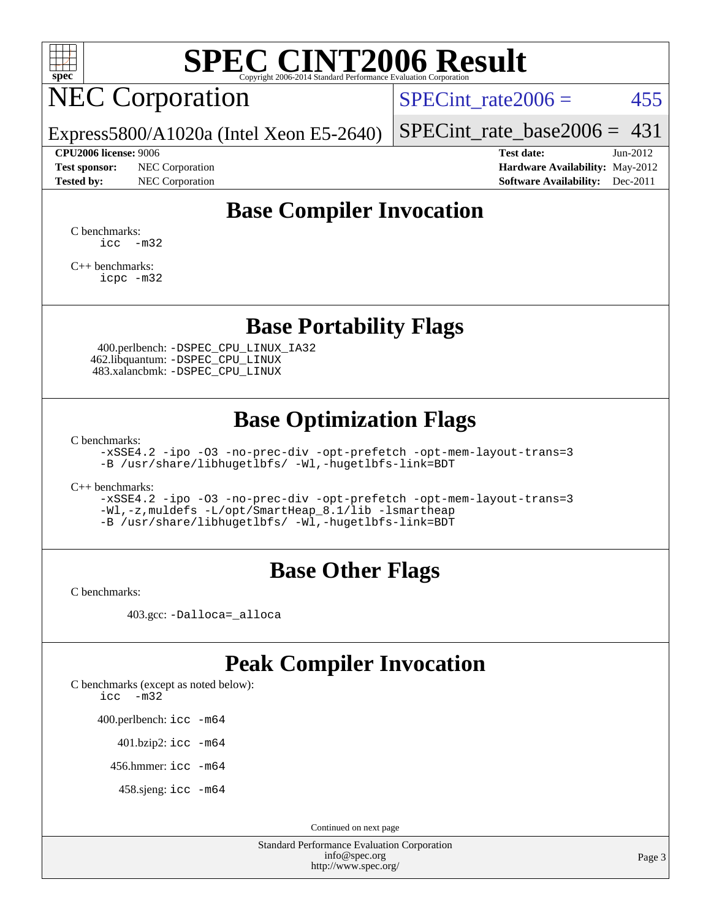

# **[SPEC CINT2006 Result](http://www.spec.org/auto/cpu2006/Docs/result-fields.html#SPECCINT2006Result)**

# NEC Corporation

SPECint rate $2006 = 455$ 

Express5800/A1020a (Intel Xeon E5-2640)

#### **[CPU2006 license:](http://www.spec.org/auto/cpu2006/Docs/result-fields.html#CPU2006license)** 9006 **[Test date:](http://www.spec.org/auto/cpu2006/Docs/result-fields.html#Testdate)** Jun-2012

**[Test sponsor:](http://www.spec.org/auto/cpu2006/Docs/result-fields.html#Testsponsor)** NEC Corporation **[Hardware Availability:](http://www.spec.org/auto/cpu2006/Docs/result-fields.html#HardwareAvailability)** May-2012

[SPECint\\_rate\\_base2006 =](http://www.spec.org/auto/cpu2006/Docs/result-fields.html#SPECintratebase2006)  $431$ 

**[Tested by:](http://www.spec.org/auto/cpu2006/Docs/result-fields.html#Testedby)** NEC Corporation **[Software Availability:](http://www.spec.org/auto/cpu2006/Docs/result-fields.html#SoftwareAvailability)** Dec-2011

# **[Base Compiler Invocation](http://www.spec.org/auto/cpu2006/Docs/result-fields.html#BaseCompilerInvocation)**

[C benchmarks](http://www.spec.org/auto/cpu2006/Docs/result-fields.html#Cbenchmarks):  $\text{icc}$   $-\text{m32}$ 

[C++ benchmarks:](http://www.spec.org/auto/cpu2006/Docs/result-fields.html#CXXbenchmarks) [icpc -m32](http://www.spec.org/cpu2006/results/res2012q3/cpu2006-20120701-23307.flags.html#user_CXXbase_intel_icpc_4e5a5ef1a53fd332b3c49e69c3330699)

### **[Base Portability Flags](http://www.spec.org/auto/cpu2006/Docs/result-fields.html#BasePortabilityFlags)**

 400.perlbench: [-DSPEC\\_CPU\\_LINUX\\_IA32](http://www.spec.org/cpu2006/results/res2012q3/cpu2006-20120701-23307.flags.html#b400.perlbench_baseCPORTABILITY_DSPEC_CPU_LINUX_IA32) 462.libquantum: [-DSPEC\\_CPU\\_LINUX](http://www.spec.org/cpu2006/results/res2012q3/cpu2006-20120701-23307.flags.html#b462.libquantum_baseCPORTABILITY_DSPEC_CPU_LINUX) 483.xalancbmk: [-DSPEC\\_CPU\\_LINUX](http://www.spec.org/cpu2006/results/res2012q3/cpu2006-20120701-23307.flags.html#b483.xalancbmk_baseCXXPORTABILITY_DSPEC_CPU_LINUX)

## **[Base Optimization Flags](http://www.spec.org/auto/cpu2006/Docs/result-fields.html#BaseOptimizationFlags)**

[C benchmarks](http://www.spec.org/auto/cpu2006/Docs/result-fields.html#Cbenchmarks):

[-xSSE4.2](http://www.spec.org/cpu2006/results/res2012q3/cpu2006-20120701-23307.flags.html#user_CCbase_f-xSSE42_f91528193cf0b216347adb8b939d4107) [-ipo](http://www.spec.org/cpu2006/results/res2012q3/cpu2006-20120701-23307.flags.html#user_CCbase_f-ipo) [-O3](http://www.spec.org/cpu2006/results/res2012q3/cpu2006-20120701-23307.flags.html#user_CCbase_f-O3) [-no-prec-div](http://www.spec.org/cpu2006/results/res2012q3/cpu2006-20120701-23307.flags.html#user_CCbase_f-no-prec-div) [-opt-prefetch](http://www.spec.org/cpu2006/results/res2012q3/cpu2006-20120701-23307.flags.html#user_CCbase_f-opt-prefetch) [-opt-mem-layout-trans=3](http://www.spec.org/cpu2006/results/res2012q3/cpu2006-20120701-23307.flags.html#user_CCbase_f-opt-mem-layout-trans_a7b82ad4bd7abf52556d4961a2ae94d5) [-B /usr/share/libhugetlbfs/ -Wl,-hugetlbfs-link=BDT](http://www.spec.org/cpu2006/results/res2012q3/cpu2006-20120701-23307.flags.html#user_CCbase_link_for_large_pages_32bit_12434cf7fb23aa199d8d9392d3b58d89)

[C++ benchmarks:](http://www.spec.org/auto/cpu2006/Docs/result-fields.html#CXXbenchmarks)

[-xSSE4.2](http://www.spec.org/cpu2006/results/res2012q3/cpu2006-20120701-23307.flags.html#user_CXXbase_f-xSSE42_f91528193cf0b216347adb8b939d4107) [-ipo](http://www.spec.org/cpu2006/results/res2012q3/cpu2006-20120701-23307.flags.html#user_CXXbase_f-ipo) [-O3](http://www.spec.org/cpu2006/results/res2012q3/cpu2006-20120701-23307.flags.html#user_CXXbase_f-O3) [-no-prec-div](http://www.spec.org/cpu2006/results/res2012q3/cpu2006-20120701-23307.flags.html#user_CXXbase_f-no-prec-div) [-opt-prefetch](http://www.spec.org/cpu2006/results/res2012q3/cpu2006-20120701-23307.flags.html#user_CXXbase_f-opt-prefetch) [-opt-mem-layout-trans=3](http://www.spec.org/cpu2006/results/res2012q3/cpu2006-20120701-23307.flags.html#user_CXXbase_f-opt-mem-layout-trans_a7b82ad4bd7abf52556d4961a2ae94d5) [-Wl,-z,muldefs](http://www.spec.org/cpu2006/results/res2012q3/cpu2006-20120701-23307.flags.html#user_CXXbase_link_force_multiple1_74079c344b956b9658436fd1b6dd3a8a) [-L/opt/SmartHeap\\_8.1/lib -lsmartheap](http://www.spec.org/cpu2006/results/res2012q3/cpu2006-20120701-23307.flags.html#user_CXXbase_SmartHeap_d5ba4dfc9de25d3c657c7de7476e66c5) [-B /usr/share/libhugetlbfs/ -Wl,-hugetlbfs-link=BDT](http://www.spec.org/cpu2006/results/res2012q3/cpu2006-20120701-23307.flags.html#user_CXXbase_link_for_large_pages_32bit_12434cf7fb23aa199d8d9392d3b58d89)

### **[Base Other Flags](http://www.spec.org/auto/cpu2006/Docs/result-fields.html#BaseOtherFlags)**

[C benchmarks](http://www.spec.org/auto/cpu2006/Docs/result-fields.html#Cbenchmarks):

403.gcc: [-Dalloca=\\_alloca](http://www.spec.org/cpu2006/results/res2012q3/cpu2006-20120701-23307.flags.html#b403.gcc_baseEXTRA_CFLAGS_Dalloca_be3056838c12de2578596ca5467af7f3)

# **[Peak Compiler Invocation](http://www.spec.org/auto/cpu2006/Docs/result-fields.html#PeakCompilerInvocation)**

[C benchmarks \(except as noted below\)](http://www.spec.org/auto/cpu2006/Docs/result-fields.html#Cbenchmarksexceptasnotedbelow): [icc -m32](http://www.spec.org/cpu2006/results/res2012q3/cpu2006-20120701-23307.flags.html#user_CCpeak_intel_icc_5ff4a39e364c98233615fdd38438c6f2)

400.perlbench: [icc -m64](http://www.spec.org/cpu2006/results/res2012q3/cpu2006-20120701-23307.flags.html#user_peakCCLD400_perlbench_intel_icc_64bit_bda6cc9af1fdbb0edc3795bac97ada53)

401.bzip2: [icc -m64](http://www.spec.org/cpu2006/results/res2012q3/cpu2006-20120701-23307.flags.html#user_peakCCLD401_bzip2_intel_icc_64bit_bda6cc9af1fdbb0edc3795bac97ada53)

456.hmmer: [icc -m64](http://www.spec.org/cpu2006/results/res2012q3/cpu2006-20120701-23307.flags.html#user_peakCCLD456_hmmer_intel_icc_64bit_bda6cc9af1fdbb0edc3795bac97ada53)

458.sjeng: [icc -m64](http://www.spec.org/cpu2006/results/res2012q3/cpu2006-20120701-23307.flags.html#user_peakCCLD458_sjeng_intel_icc_64bit_bda6cc9af1fdbb0edc3795bac97ada53)

Continued on next page

Standard Performance Evaluation Corporation [info@spec.org](mailto:info@spec.org) <http://www.spec.org/>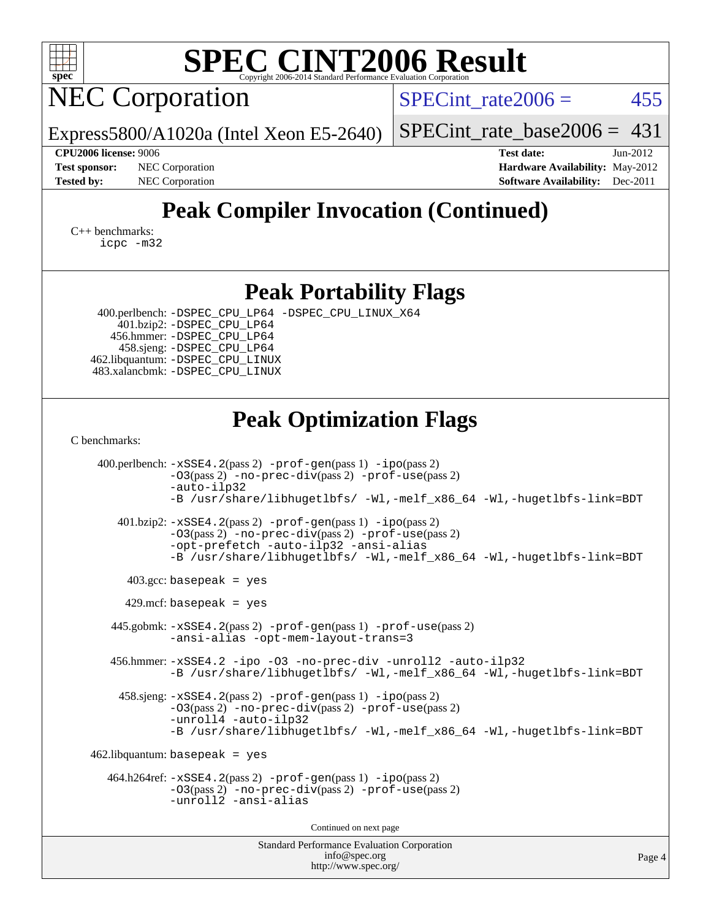